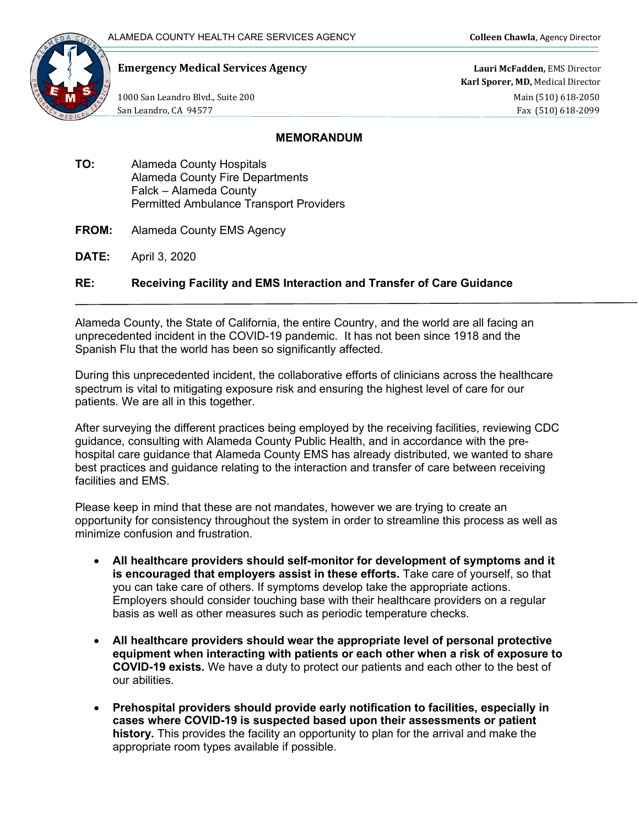

## **Emergency Medical Services Agency Lauri McFadden,** EMS Director

**Karl Sporer, MD,** Medical Director 1000 San Leandro Blvd., Suite 200 **Main (510)** 618-2050 San Leandro, CA 94577 Fax (510) 618-2099

## **MEMORANDUM**

- **TO:** Alameda County Hospitals Alameda County Fire Departments Falck – Alameda County Permitted Ambulance Transport Providers
- **FROM:** Alameda County EMS Agency
- **DATE:** April 3, 2020

## **RE: Receiving Facility and EMS Interaction and Transfer of Care Guidance**

Alameda County, the State of California, the entire Country, and the world are all facing an unprecedented incident in the COVID-19 pandemic. It has not been since 1918 and the Spanish Flu that the world has been so significantly affected.

During this unprecedented incident, the collaborative efforts of clinicians across the healthcare spectrum is vital to mitigating exposure risk and ensuring the highest level of care for our patients. We are all in this together.

After surveying the different practices being employed by the receiving facilities, reviewing CDC guidance, consulting with Alameda County Public Health, and in accordance with the prehospital care guidance that Alameda County EMS has already distributed, we wanted to share best practices and guidance relating to the interaction and transfer of care between receiving facilities and EMS.

Please keep in mind that these are not mandates, however we are trying to create an opportunity for consistency throughout the system in order to streamline this process as well as minimize confusion and frustration.

- **All healthcare providers should self-monitor for development of symptoms and it is encouraged that employers assist in these efforts.** Take care of yourself, so that you can take care of others. If symptoms develop take the appropriate actions. Employers should consider touching base with their healthcare providers on a regular basis as well as other measures such as periodic temperature checks.
- **All healthcare providers should wear the appropriate level of personal protective equipment when interacting with patients or each other when a risk of exposure to COVID-19 exists.** We have a duty to protect our patients and each other to the best of our abilities.
- **Prehospital providers should provide early notification to facilities, especially in cases where COVID-19 is suspected based upon their assessments or patient history.** This provides the facility an opportunity to plan for the arrival and make the appropriate room types available if possible.